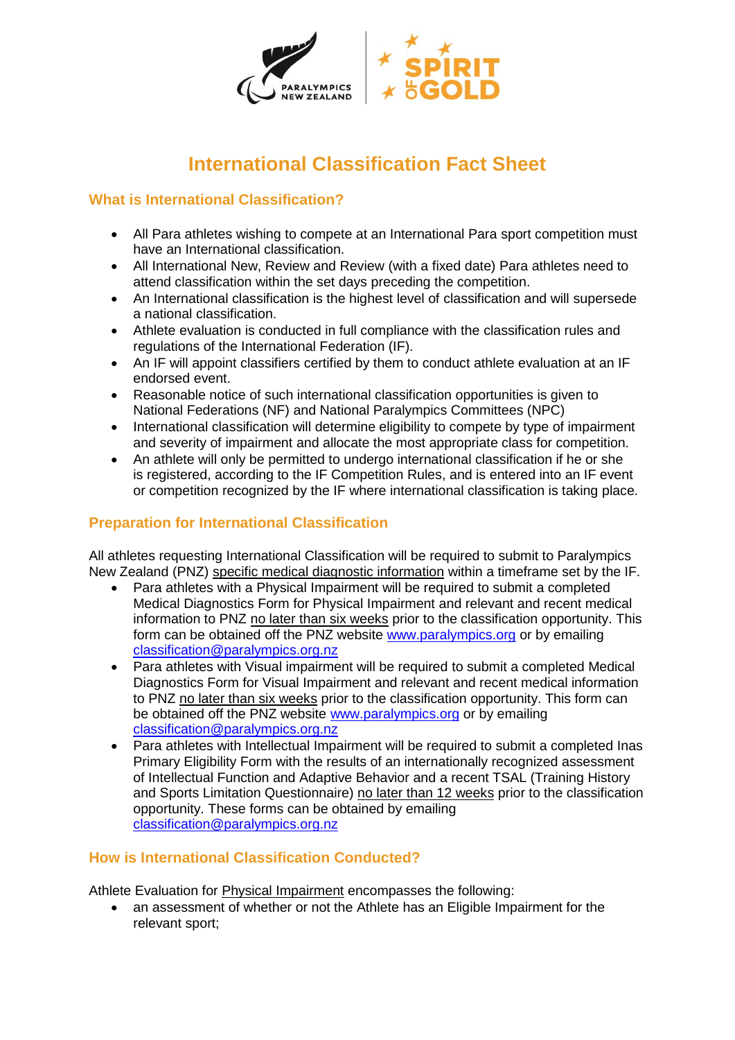

# **International Classification Fact Sheet**

# **What is International Classification?**

- All Para athletes wishing to compete at an International Para sport competition must have an International classification.
- All International New, Review and Review (with a fixed date) Para athletes need to attend classification within the set days preceding the competition.
- An International classification is the highest level of classification and will supersede a national classification.
- Athlete evaluation is conducted in full compliance with the classification rules and regulations of the International Federation (IF).
- An IF will appoint classifiers certified by them to conduct athlete evaluation at an IF endorsed event.
- Reasonable notice of such international classification opportunities is given to National Federations (NF) and National Paralympics Committees (NPC)
- International classification will determine eligibility to compete by type of impairment and severity of impairment and allocate the most appropriate class for competition.
- An athlete will only be permitted to undergo international classification if he or she is registered, according to the IF Competition Rules, and is entered into an IF event or competition recognized by the IF where international classification is taking place.

## **Preparation for International Classification**

All athletes requesting International Classification will be required to submit to Paralympics New Zealand (PNZ) specific medical diagnostic information within a timeframe set by the IF.

- Para athletes with a Physical Impairment will be required to submit a completed Medical Diagnostics Form for Physical Impairment and relevant and recent medical information to PNZ no later than six weeks prior to the classification opportunity. This form can be obtained off the PNZ website [www.paralympics.org](http://www.paralympics.org/) or by emailing [classification@paralympics.org.nz](mailto:classification@paralympics.org.nz)
- Para athletes with Visual impairment will be required to submit a completed Medical Diagnostics Form for Visual Impairment and relevant and recent medical information to PNZ no later than six weeks prior to the classification opportunity. This form can be obtained off the PNZ website [www.paralympics.org](http://www.paralympics.org/) or by emailing [classification@paralympics.org.nz](mailto:classification@paralympics.org.nz)
- Para athletes with Intellectual Impairment will be required to submit a completed Inas Primary Eligibility Form with the results of an internationally recognized assessment of Intellectual Function and Adaptive Behavior and a recent TSAL (Training History and Sports Limitation Questionnaire) no later than 12 weeks prior to the classification opportunity. These forms can be obtained by emailing [classification@paralympics.org.nz](mailto:classification@paralympics.org.nz)

## **How is International Classification Conducted?**

Athlete Evaluation for Physical Impairment encompasses the following:

• an assessment of whether or not the Athlete has an Eligible Impairment for the relevant sport;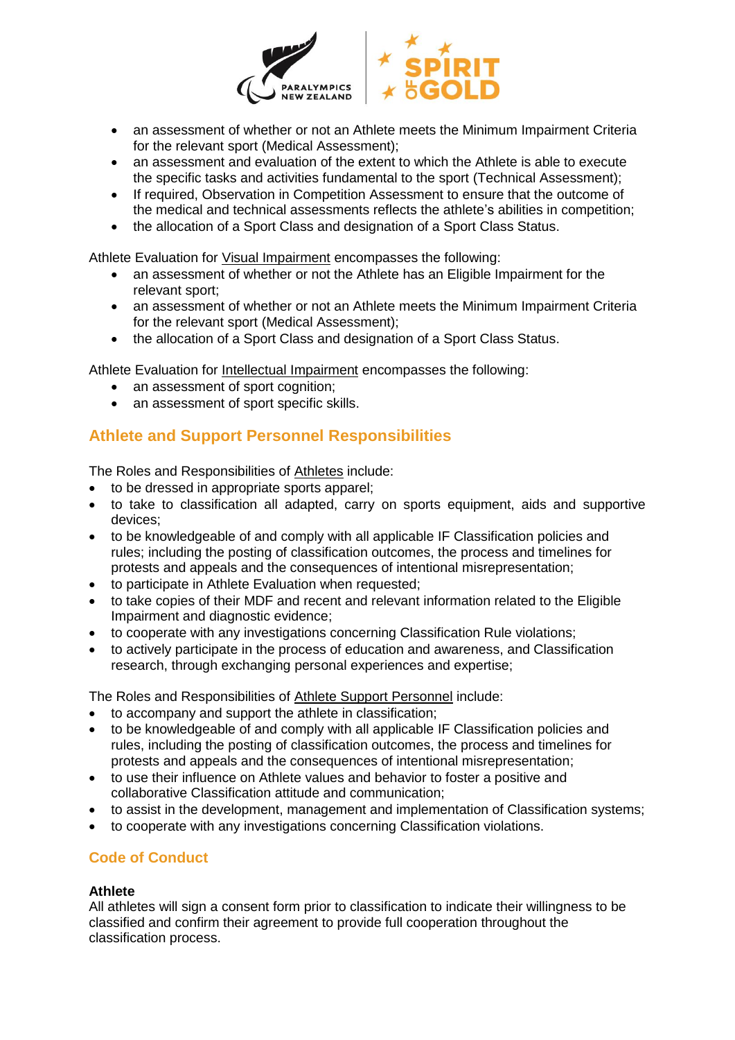

- an assessment of whether or not an Athlete meets the Minimum Impairment Criteria for the relevant sport (Medical Assessment);
- an assessment and evaluation of the extent to which the Athlete is able to execute the specific tasks and activities fundamental to the sport (Technical Assessment);
- If required, Observation in Competition Assessment to ensure that the outcome of the medical and technical assessments reflects the athlete's abilities in competition;
- the allocation of a Sport Class and designation of a Sport Class Status.

Athlete Evaluation for Visual Impairment encompasses the following:

- an assessment of whether or not the Athlete has an Eligible Impairment for the relevant sport;
- an assessment of whether or not an Athlete meets the Minimum Impairment Criteria for the relevant sport (Medical Assessment);
- the allocation of a Sport Class and designation of a Sport Class Status.

Athlete Evaluation for Intellectual Impairment encompasses the following:

- an assessment of sport cognition;
- an assessment of sport specific skills.

# **Athlete and Support Personnel Responsibilities**

The Roles and Responsibilities of Athletes include:

- to be dressed in appropriate sports apparel;
- to take to classification all adapted, carry on sports equipment, aids and supportive devices;
- to be knowledgeable of and comply with all applicable IF Classification policies and rules; including the posting of classification outcomes, the process and timelines for protests and appeals and the consequences of intentional misrepresentation;
- to participate in Athlete Evaluation when requested;
- to take copies of their MDF and recent and relevant information related to the Eligible Impairment and diagnostic evidence;
- to cooperate with any investigations concerning Classification Rule violations;
- to actively participate in the process of education and awareness, and Classification research, through exchanging personal experiences and expertise;

The Roles and Responsibilities of Athlete Support Personnel include:

- to accompany and support the athlete in classification;
- to be knowledgeable of and comply with all applicable IF Classification policies and rules, including the posting of classification outcomes, the process and timelines for protests and appeals and the consequences of intentional misrepresentation;
- to use their influence on Athlete values and behavior to foster a positive and collaborative Classification attitude and communication;
- to assist in the development, management and implementation of Classification systems;
- to cooperate with any investigations concerning Classification violations.

# **Code of Conduct**

#### **Athlete**

All athletes will sign a consent form prior to classification to indicate their willingness to be classified and confirm their agreement to provide full cooperation throughout the classification process.